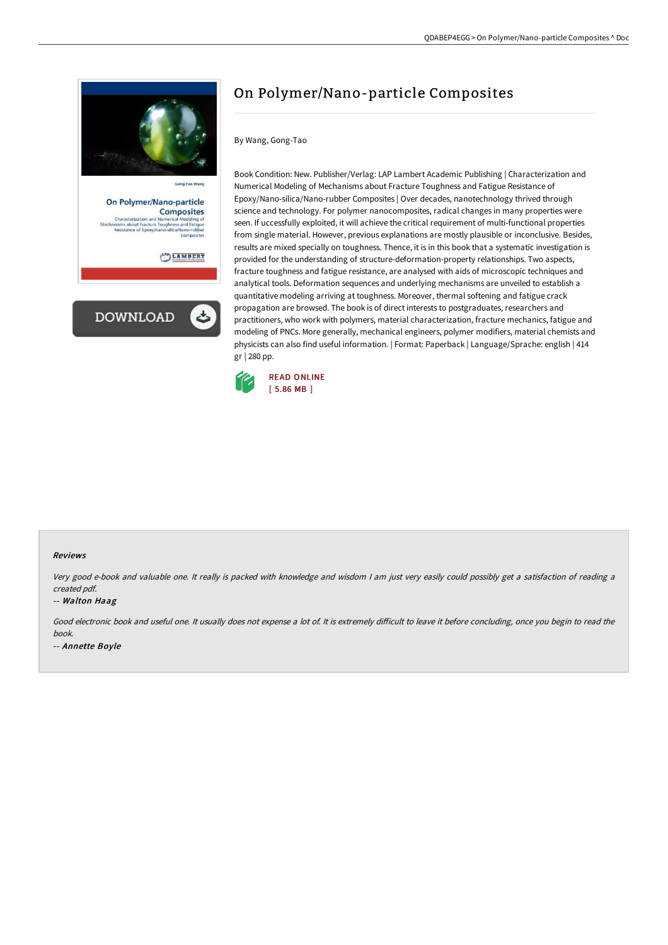

On Polymer/Nano-particle **Composites** Modeling of<br>and Fatigue<br>Nano-rubber

LAMBERT



# On Polymer/Nano-particle Composites

### By Wang, Gong-Tao

Book Condition: New. Publisher/Verlag: LAP Lambert Academic Publishing | Characterization and Numerical Modeling of Mechanisms about Fracture Toughness and Fatigue Resistance of Epoxy/Nano-silica/Nano-rubber Composites | Over decades, nanotechnology thrived through science and technology. For polymer nanocomposites, radical changes in many properties were seen. If uccessfully exploited, it will achieve the critical requirement of multi-functional properties from single material. However, previous explanations are mostly plausible or inconclusive. Besides, results are mixed specially on toughness. Thence, it is in this book that a systematic investigation is provided for the understanding of structure-deformation-property relationships. Two aspects, fracture toughness and fatigue resistance, are analysed with aids of microscopic techniques and analytical tools. Deformation sequences and underlying mechanisms are unveiled to establish a quantitative modeling arriving at toughness. Moreover, thermal softening and fatigue crack propagation are browsed. The book is of direct interests to postgraduates, researchers and practitioners, who work with polymers, material characterization, fracture mechanics, fatigue and modeling of PNCs. More generally, mechanical engineers, polymer modifiers, material chemists and physicists can also find useful information. | Format: Paperback | Language/Sprache: english | 414 gr | 280 pp.



### Reviews

Very good e-book and valuable one. It really is packed with knowledge and wisdom <sup>I</sup> am just very easily could possibly get <sup>a</sup> satisfaction of reading <sup>a</sup> created pdf.

#### -- Walton Haag

Good electronic book and useful one. It usually does not expense a lot of. It is extremely difficult to leave it before concluding, once you begin to read the book. -- Annette Boyle